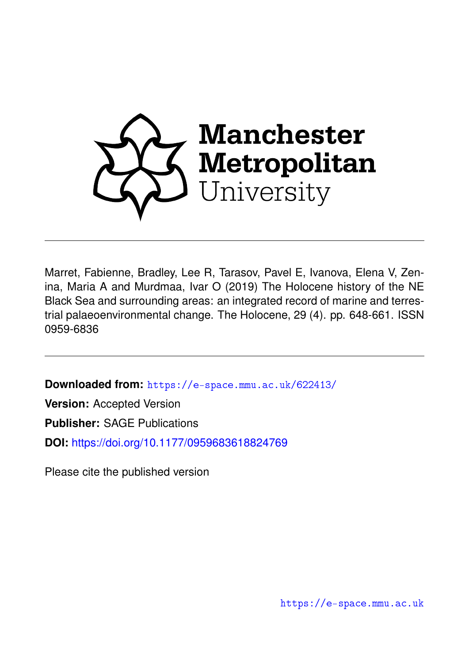

Marret, Fabienne, Bradley, Lee R, Tarasov, Pavel E, Ivanova, Elena V, Zenina, Maria A and Murdmaa, Ivar O (2019) The Holocene history of the NE Black Sea and surrounding areas: an integrated record of marine and terrestrial palaeoenvironmental change. The Holocene, 29 (4). pp. 648-661. ISSN 0959-6836

**Downloaded from:** <https://e-space.mmu.ac.uk/622413/>

**Version:** Accepted Version

**Publisher:** SAGE Publications

**DOI:** <https://doi.org/10.1177/0959683618824769>

Please cite the published version

<https://e-space.mmu.ac.uk>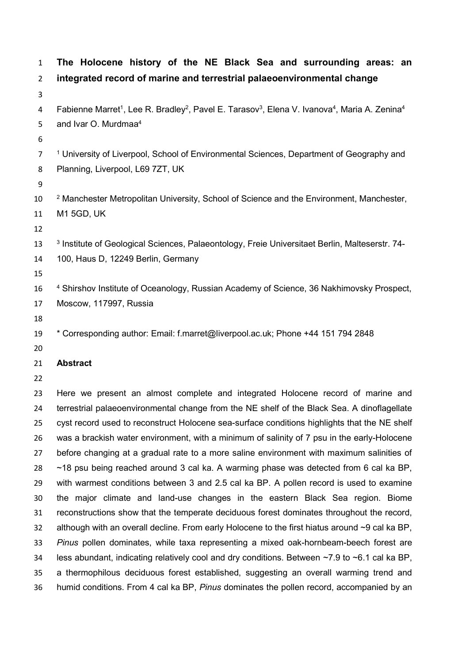| $\mathbf{1}$   | The Holocene history of the NE Black Sea and surrounding areas: an                                                                                        |
|----------------|-----------------------------------------------------------------------------------------------------------------------------------------------------------|
| $\overline{2}$ | integrated record of marine and terrestrial palaeoenvironmental change                                                                                    |
| 3              |                                                                                                                                                           |
| 4              | Fabienne Marret <sup>1</sup> , Lee R. Bradley <sup>2</sup> , Pavel E. Tarasov <sup>3</sup> , Elena V. Ivanova <sup>4</sup> , Maria A. Zenina <sup>4</sup> |
| 5              | and Ivar O. Murdmaa <sup>4</sup>                                                                                                                          |
| 6              |                                                                                                                                                           |
| $\overline{7}$ | <sup>1</sup> University of Liverpool, School of Environmental Sciences, Department of Geography and                                                       |
| 8              | Planning, Liverpool, L69 7ZT, UK                                                                                                                          |
| 9              |                                                                                                                                                           |
| 10             | <sup>2</sup> Manchester Metropolitan University, School of Science and the Environment, Manchester,                                                       |
| 11             | <b>M1 5GD, UK</b>                                                                                                                                         |
| 12             |                                                                                                                                                           |
| 13             | <sup>3</sup> Institute of Geological Sciences, Palaeontology, Freie Universitaet Berlin, Malteserstr. 74-                                                 |
| 14             | 100, Haus D, 12249 Berlin, Germany                                                                                                                        |
| 15             |                                                                                                                                                           |
| 16             | <sup>4</sup> Shirshov Institute of Oceanology, Russian Academy of Science, 36 Nakhimovsky Prospect,                                                       |
| 17             | Moscow, 117997, Russia                                                                                                                                    |
| 18             |                                                                                                                                                           |
| 19             | * Corresponding author: Email: f.marret@liverpool.ac.uk; Phone +44 151 794 2848                                                                           |
| 20             |                                                                                                                                                           |
| 21             | <b>Abstract</b>                                                                                                                                           |
| 22             |                                                                                                                                                           |
| 23             | Here we present an almost complete and integrated Holocene record of marine and                                                                           |
| 24             | terrestrial palaeoenvironmental change from the NE shelf of the Black Sea. A dinoflagellate                                                               |
| 25             | cyst record used to reconstruct Holocene sea-surface conditions highlights that the NE shelf                                                              |
| 26             | was a brackish water environment, with a minimum of salinity of 7 psu in the early-Holocene                                                               |
| 27             | before changing at a gradual rate to a more saline environment with maximum salinities of                                                                 |
| 28             | $\sim$ 18 psu being reached around 3 cal ka. A warming phase was detected from 6 cal ka BP,                                                               |
| 29             | with warmest conditions between 3 and 2.5 cal ka BP. A pollen record is used to examine                                                                   |
| 30             | the major climate and land-use changes in the eastern Black Sea region. Biome                                                                             |
| 31             | reconstructions show that the temperate deciduous forest dominates throughout the record,                                                                 |
| 32             | although with an overall decline. From early Holocene to the first hiatus around $\sim$ 9 cal ka BP,                                                      |
| 33             | Pinus pollen dominates, while taxa representing a mixed oak-hornbeam-beech forest are                                                                     |
| 34             | less abundant, indicating relatively cool and dry conditions. Between $\sim$ 7.9 to $\sim$ 6.1 cal ka BP,                                                 |
| 35             | a thermophilous deciduous forest established, suggesting an overall warming trend and                                                                     |
| 36             | humid conditions. From 4 cal ka BP, Pinus dominates the pollen record, accompanied by an                                                                  |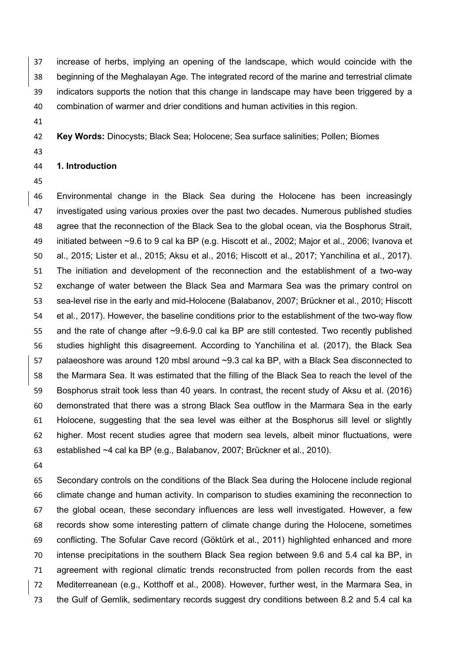increase of herbs, implying an opening of the landscape, which would coincide with the beginning of the Meghalayan Age. The integrated record of the marine and terrestrial climate indicators supports the notion that this change in landscape may have been triggered by a combination of warmer and drier conditions and human activities in this region.

**Key Words:** Dinocysts; Black Sea; Holocene; Sea surface salinities; Pollen; Biomes

# **1. Introduction**

 Environmental change in the Black Sea during the Holocene has been increasingly investigated using various proxies over the past two decades. Numerous published studies agree that the reconnection of the Black Sea to the global ocean, via the Bosphorus Strait, initiated between ~9.6 to 9 cal ka BP (e.g. Hiscott et al., 2002; Major et al., 2006; Ivanova et al., 2015; Lister et al., 2015; Aksu et al., 2016; Hiscott et al., 2017; Yanchilina et al., 2017). The initiation and development of the reconnection and the establishment of a two-way exchange of water between the Black Sea and Marmara Sea was the primary control on sea-level rise in the early and mid-Holocene (Balabanov, 2007; Brückner et al., 2010; Hiscott et al., 2017). However, the baseline conditions prior to the establishment of the two-way flow and the rate of change after ~9.6-9.0 cal ka BP are still contested. Two recently published studies highlight this disagreement. According to Yanchilina et al. (2017), the Black Sea palaeoshore was around 120 mbsl around ~9.3 cal ka BP, with a Black Sea disconnected to the Marmara Sea. It was estimated that the filling of the Black Sea to reach the level of the Bosphorus strait took less than 40 years. In contrast, the recent study of Aksu et al. (2016) demonstrated that there was a strong Black Sea outflow in the Marmara Sea in the early Holocene, suggesting that the sea level was either at the Bosphorus sill level or slightly higher. Most recent studies agree that modern sea levels, albeit minor fluctuations, were established ~4 cal ka BP (e.g., Balabanov, 2007; Brückner et al., 2010).

 Secondary controls on the conditions of the Black Sea during the Holocene include regional climate change and human activity. In comparison to studies examining the reconnection to the global ocean, these secondary influences are less well investigated. However, a few records show some interesting pattern of climate change during the Holocene, sometimes conflicting. The Sofular Cave record (Göktürk et al., 2011) highlighted enhanced and more intense precipitations in the southern Black Sea region between 9.6 and 5.4 cal ka BP, in agreement with regional climatic trends reconstructed from pollen records from the east Mediterreanean (e.g., Kotthoff et al., 2008). However, further west, in the Marmara Sea, in the Gulf of Gemlik, sedimentary records suggest dry conditions between 8.2 and 5.4 cal ka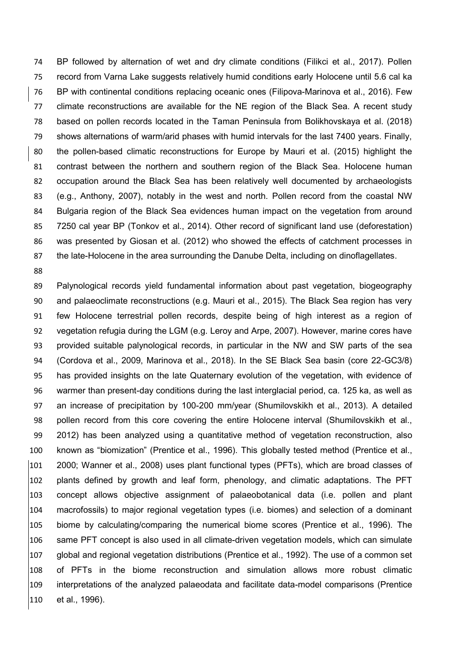BP followed by alternation of wet and dry climate conditions (Filikci et al., 2017). Pollen record from Varna Lake suggests relatively humid conditions early Holocene until 5.6 cal ka BP with continental conditions replacing oceanic ones (Filipova-Marinova et al., 2016). Few climate reconstructions are available for the NE region of the Black Sea. A recent study based on pollen records located in the Taman Peninsula from Bolikhovskaya et al. (2018) shows alternations of warm/arid phases with humid intervals for the last 7400 years. Finally, the pollen-based climatic reconstructions for Europe by Mauri et al. (2015) highlight the contrast between the northern and southern region of the Black Sea. Holocene human occupation around the Black Sea has been relatively well documented by archaeologists (e.g., Anthony, 2007), notably in the west and north. Pollen record from the coastal NW Bulgaria region of the Black Sea evidences human impact on the vegetation from around 7250 cal year BP (Tonkov et al., 2014). Other record of significant land use (deforestation) was presented by Giosan et al. (2012) who showed the effects of catchment processes in 87 the late-Holocene in the area surrounding the Danube Delta, including on dinoflagellates.

 Palynological records yield fundamental information about past vegetation, biogeography and palaeoclimate reconstructions (e.g. Mauri et al., 2015). The Black Sea region has very few Holocene terrestrial pollen records, despite being of high interest as a region of vegetation refugia during the LGM (e.g. Leroy and Arpe, 2007). However, marine cores have provided suitable palynological records, in particular in the NW and SW parts of the sea (Cordova et al., 2009, Marinova et al., 2018). In the SE Black Sea basin (core 22-GC3/8) has provided insights on the late Quaternary evolution of the vegetation, with evidence of warmer than present-day conditions during the last interglacial period, ca. 125 ka, as well as an increase of precipitation by 100-200 mm/year (Shumilovskikh et al., 2013). A detailed pollen record from this core covering the entire Holocene interval (Shumilovskikh et al., 2012) has been analyzed using a quantitative method of vegetation reconstruction, also known as "biomization" (Prentice et al., 1996). This globally tested method (Prentice et al., 2000; Wanner et al., 2008) uses plant functional types (PFTs), which are broad classes of plants defined by growth and leaf form, phenology, and climatic adaptations. The PFT concept allows objective assignment of palaeobotanical data (i.e. pollen and plant macrofossils) to major regional vegetation types (i.e. biomes) and selection of a dominant biome by calculating/comparing the numerical biome scores (Prentice et al., 1996). The same PFT concept is also used in all climate-driven vegetation models, which can simulate global and regional vegetation distributions (Prentice et al., 1992). The use of a common set of PFTs in the biome reconstruction and simulation allows more robust climatic interpretations of the analyzed palaeodata and facilitate data-model comparisons (Prentice et al., 1996).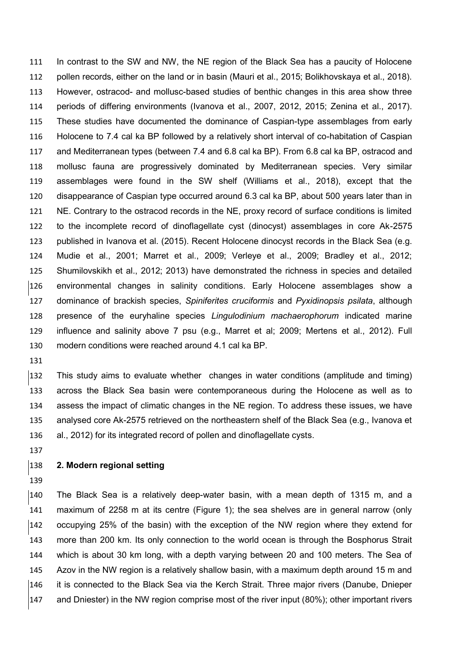In contrast to the SW and NW, the NE region of the Black Sea has a paucity of Holocene pollen records, either on the land or in basin (Mauri et al., 2015; Bolikhovskaya et al., 2018). However, ostracod- and mollusc-based studies of benthic changes in this area show three periods of differing environments (Ivanova et al., 2007, 2012, 2015; Zenina et al., 2017). These studies have documented the dominance of Caspian-type assemblages from early Holocene to 7.4 cal ka BP followed by a relatively short interval of co-habitation of Caspian and Mediterranean types (between 7.4 and 6.8 cal ka BP). From 6.8 cal ka BP, ostracod and mollusc fauna are progressively dominated by Mediterranean species. Very similar assemblages were found in the SW shelf (Williams et al., 2018), except that the disappearance of Caspian type occurred around 6.3 cal ka BP, about 500 years later than in NE. Contrary to the ostracod records in the NE, proxy record of surface conditions is limited to the incomplete record of dinoflagellate cyst (dinocyst) assemblages in core Ak-2575 published in Ivanova et al. (2015). Recent Holocene dinocyst records in the Black Sea (e.g. Mudie et al., 2001; Marret et al., 2009; Verleye et al., 2009; Bradley et al., 2012; Shumilovskikh et al., 2012; 2013) have demonstrated the richness in species and detailed environmental changes in salinity conditions. Early Holocene assemblages show a dominance of brackish species, *Spiniferites cruciformis* and *Pyxidinopsis psilata*, although presence of the euryhaline species *Lingulodinium machaerophorum* indicated marine influence and salinity above 7 psu (e.g., Marret et al; 2009; Mertens et al., 2012). Full modern conditions were reached around 4.1 cal ka BP.

 This study aims to evaluate whether changes in water conditions (amplitude and timing) across the Black Sea basin were contemporaneous during the Holocene as well as to assess the impact of climatic changes in the NE region. To address these issues, we have analysed core Ak-2575 retrieved on the northeastern shelf of the Black Sea (e.g., Ivanova et al., 2012) for its integrated record of pollen and dinoflagellate cysts.

## **2. Modern regional setting**

 The Black Sea is a relatively deep-water basin, with a mean depth of 1315 m, and a maximum of 2258 m at its centre (Figure 1); the sea shelves are in general narrow (only occupying 25% of the basin) with the exception of the NW region where they extend for more than 200 km. Its only connection to the world ocean is through the Bosphorus Strait which is about 30 km long, with a depth varying between 20 and 100 meters. The Sea of Azov in the NW region is a relatively shallow basin, with a maximum depth around 15 m and it is connected to the Black Sea via the Kerch Strait. Three major rivers (Danube, Dnieper and Dniester) in the NW region comprise most of the river input (80%); other important rivers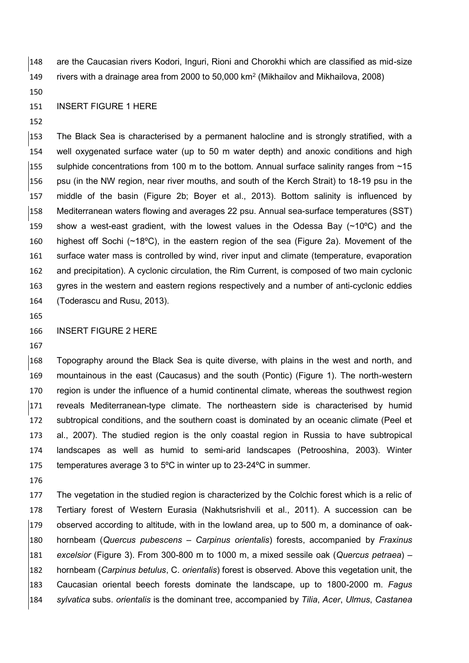are the Caucasian rivers Kodori, Inguri, Rioni and Chorokhi which are classified as mid-size 149 rivers with a drainage area from 2000 to 50,000 km<sup>2</sup> (Mikhailov and Mikhailova, 2008)

#### INSERT FIGURE 1 HERE

 The Black Sea is characterised by a permanent halocline and is strongly stratified, with a well oxygenated surface water (up to 50 m water depth) and anoxic conditions and high 155 sulphide concentrations from 100 m to the bottom. Annual surface salinity ranges from  $\sim$ 15 psu (in the NW region, near river mouths, and south of the Kerch Strait) to 18-19 psu in the middle of the basin (Figure 2b; Boyer et al., 2013). Bottom salinity is influenced by Mediterranean waters flowing and averages 22 psu. Annual sea-surface temperatures (SST) show a west-east gradient, with the lowest values in the Odessa Bay (~10ºC) and the highest off Sochi (~18ºC), in the eastern region of the sea (Figure 2a). Movement of the surface water mass is controlled by wind, river input and climate (temperature, evaporation and precipitation). A cyclonic circulation, the Rim Current, is composed of two main cyclonic gyres in the western and eastern regions respectively and a number of anti-cyclonic eddies (Toderascu and Rusu, 2013).

#### INSERT FIGURE 2 HERE

 Topography around the Black Sea is quite diverse, with plains in the west and north, and mountainous in the east (Caucasus) and the south (Pontic) (Figure 1). The north-western region is under the influence of a humid continental climate, whereas the southwest region reveals Mediterranean-type climate. The northeastern side is characterised by humid subtropical conditions, and the southern coast is dominated by an oceanic climate (Peel et al., 2007). The studied region is the only coastal region in Russia to have subtropical landscapes as well as humid to semi-arid landscapes (Petrooshina, 2003). Winter temperatures average 3 to 5ºC in winter up to 23-24ºC in summer.

 The vegetation in the studied region is characterized by the Colchic forest which is a relic of Tertiary forest of Western Eurasia (Nakhutsrishvili et al., 2011). A succession can be  $\vert$ 179 observed according to altitude, with in the lowland area, up to 500 m, a dominance of oak- hornbeam (*Quercus pubescens* – *Carpinus orientalis*) forests, accompanied by *Fraxinus excelsior* (Figure 3). From 300-800 m to 1000 m, a mixed sessile oak (*Quercus petraea*) – hornbeam (*Carpinus betulus*, C. *orientalis*) forest is observed. Above this vegetation unit, the Caucasian oriental beech forests dominate the landscape, up to 1800-2000 m. *Fagus sylvatica* subs. *orientalis* is the dominant tree, accompanied by *Tilia*, *Acer*, *Ulmus*, *Castanea*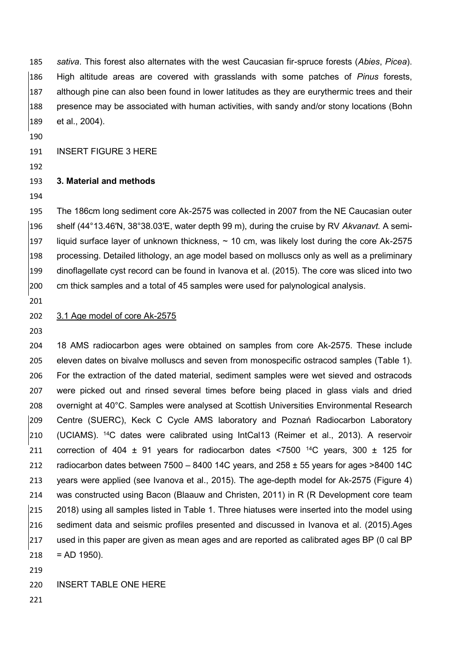*sativa*. This forest also alternates with the west Caucasian fir-spruce forests (*Abies*, *Picea*). High altitude areas are covered with grasslands with some patches of *Pinus* forests, although pine can also been found in lower latitudes as they are eurythermic trees and their presence may be associated with human activities, with sandy and/or stony locations (Bohn et al., 2004).

INSERT FIGURE 3 HERE

## **3. Material and methods**

 The 186cm long sediment core Ak-2575 was collected in 2007 from the NE Caucasian outer shelf (44°13.46′N, 38°38.03′E, water depth 99 m), during the cruise by RV *Akvanavt.* A semi-197 liquid surface layer of unknown thickness,  $\sim$  10 cm, was likely lost during the core Ak-2575 processing. Detailed lithology, an age model based on molluscs only as well as a preliminary dinoflagellate cyst record can be found in Ivanova et al. (2015). The core was sliced into two cm thick samples and a total of 45 samples were used for palynological analysis.

#### 3.1 Age model of core Ak-2575

 18 AMS radiocarbon ages were obtained on samples from core Ak-2575. These include eleven dates on bivalve molluscs and seven from monospecific ostracod samples (Table 1). For the extraction of the dated material, sediment samples were wet sieved and ostracods were picked out and rinsed several times before being placed in glass vials and dried overnight at 40°C. Samples were analysed at Scottish Universities Environmental Research Centre (SUERC), Keck C Cycle AMS laboratory and Poznań Radiocarbon Laboratory (UCIAMS). <sup>14</sup>C dates were calibrated using IntCal13 (Reimer et al., 2013). A reservoir 211 correction of 404  $\pm$  91 years for radiocarbon dates <7500 <sup>14</sup>C years, 300  $\pm$  125 for 212 radiocarbon dates between  $7500 - 8400$  14C years, and  $258 \pm 55$  years for ages  $>8400$  14C years were applied (see Ivanova et al., 2015). The age-depth model for Ak-2575 (Figure 4) was constructed using Bacon (Blaauw and Christen, 2011) in R (R Development core team 2018) using all samples listed in Table 1. Three hiatuses were inserted into the model using sediment data and seismic profiles presented and discussed in Ivanova et al. (2015).Ages used in this paper are given as mean ages and are reported as calibrated ages BP (0 cal BP = AD 1950).

## INSERT TABLE ONE HERE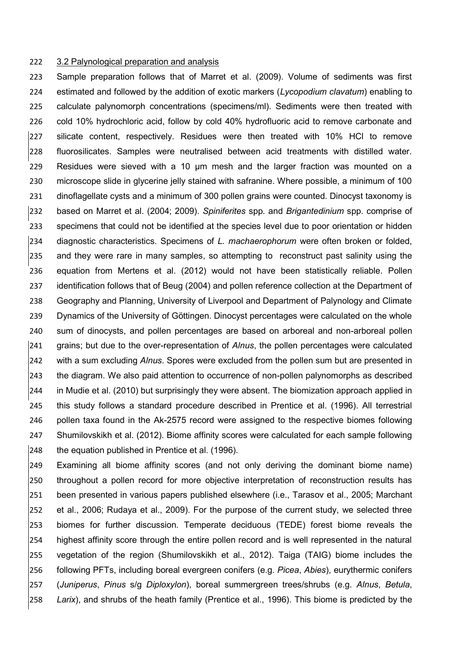#### 3.2 Palynological preparation and analysis

 Sample preparation follows that of Marret et al. (2009). Volume of sediments was first estimated and followed by the addition of exotic markers (*Lycopodium clavatum*) enabling to calculate palynomorph concentrations (specimens/ml). Sediments were then treated with cold 10% hydrochloric acid, follow by cold 40% hydrofluoric acid to remove carbonate and silicate content, respectively. Residues were then treated with 10% HCl to remove fluorosilicates. Samples were neutralised between acid treatments with distilled water. Residues were sieved with a 10 µm mesh and the larger fraction was mounted on a microscope slide in glycerine jelly stained with safranine. Where possible, a minimum of 100 231 dinoflagellate cysts and a minimum of 300 pollen grains were counted. Dinocyst taxonomy is based on Marret et al. (2004; 2009). *Spiniferites* spp. and *Brigantedinium* spp. comprise of specimens that could not be identified at the species level due to poor orientation or hidden diagnostic characteristics. Specimens of *L. machaerophorum* were often broken or folded, and they were rare in many samples, so attempting to reconstruct past salinity using the equation from Mertens et al. (2012) would not have been statistically reliable. Pollen 237 identification follows that of Beug (2004) and pollen reference collection at the Department of Geography and Planning, University of Liverpool and Department of Palynology and Climate Dynamics of the University of Göttingen. Dinocyst percentages were calculated on the whole sum of dinocysts, and pollen percentages are based on arboreal and non-arboreal pollen grains; but due to the over-representation of *Alnus*, the pollen percentages were calculated with a sum excluding *Alnus*. Spores were excluded from the pollen sum but are presented in the diagram. We also paid attention to occurrence of non-pollen palynomorphs as described in Mudie et al. (2010) but surprisingly they were absent. The biomization approach applied in this study follows a standard procedure described in Prentice et al. (1996). All terrestrial pollen taxa found in the Ak-2575 record were assigned to the respective biomes following Shumilovskikh et al. (2012). Biome affinity scores were calculated for each sample following the equation published in Prentice et al. (1996).

 Examining all biome affinity scores (and not only deriving the dominant biome name) throughout a pollen record for more objective interpretation of reconstruction results has been presented in various papers published elsewhere (i.e., Tarasov et al., 2005; Marchant et al., 2006; Rudaya et al., 2009). For the purpose of the current study, we selected three biomes for further discussion. Temperate deciduous (TEDE) forest biome reveals the highest affinity score through the entire pollen record and is well represented in the natural vegetation of the region (Shumilovskikh et al., 2012). Taiga (TAIG) biome includes the following PFTs, including boreal evergreen conifers (e.g. *Picea*, *Abies*), eurythermic conifers (*Juniperus*, *Pinus* s/g *Diploxylon*), boreal summergreen trees/shrubs (e.g. *Alnus*, *Betula*, *Larix*), and shrubs of the heath family (Prentice et al., 1996). This biome is predicted by the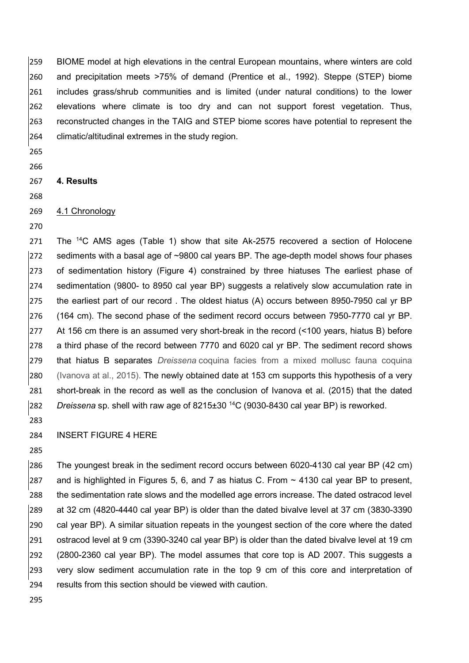BIOME model at high elevations in the central European mountains, where winters are cold and precipitation meets >75% of demand (Prentice et al., 1992). Steppe (STEP) biome includes grass/shrub communities and is limited (under natural conditions) to the lower elevations where climate is too dry and can not support forest vegetation. Thus, reconstructed changes in the TAIG and STEP biome scores have potential to represent the climatic/altitudinal extremes in the study region.

- 
- 

## **4. Results**

# 4.1 Chronology

271 The  $14C$  AMS ages (Table 1) show that site Ak-2575 recovered a section of Holocene  $|272$  sediments with a basal age of  $\sim 9800$  cal years BP. The age-depth model shows four phases of sedimentation history (Figure 4) constrained by three hiatuses The earliest phase of sedimentation (9800- to 8950 cal year BP) suggests a relatively slow accumulation rate in the earliest part of our record . The oldest hiatus (A) occurs between 8950-7950 cal yr BP (164 cm). The second phase of the sediment record occurs between 7950-7770 cal yr BP. At 156 cm there is an assumed very short-break in the record (<100 years, hiatus B) before a third phase of the record between 7770 and 6020 cal yr BP. The sediment record shows that hiatus B separates *Dreissena* coquina facies from a mixed mollusc fauna coquina (Ivanova at al., 2015). The newly obtained date at 153 cm supports this hypothesis of a very short-break in the record as well as the conclusion of Ivanova et al. (2015) that the dated <sup>282</sup> Dreissena sp. shell with raw age of 8215±30<sup>14</sup>C (9030-8430 cal year BP) is reworked.

INSERT FIGURE 4 HERE

 The youngest break in the sediment record occurs between 6020-4130 cal year BP (42 cm) 287 and is highlighted in Figures 5, 6, and 7 as hiatus C. From  $\sim$  4130 cal year BP to present, the sedimentation rate slows and the modelled age errors increase. The dated ostracod level at 32 cm (4820-4440 cal year BP) is older than the dated bivalve level at 37 cm (3830-3390 cal year BP). A similar situation repeats in the youngest section of the core where the dated ostracod level at 9 cm (3390-3240 cal year BP) is older than the dated bivalve level at 19 cm (2800-2360 cal year BP). The model assumes that core top is AD 2007. This suggests a very slow sediment accumulation rate in the top 9 cm of this core and interpretation of results from this section should be viewed with caution.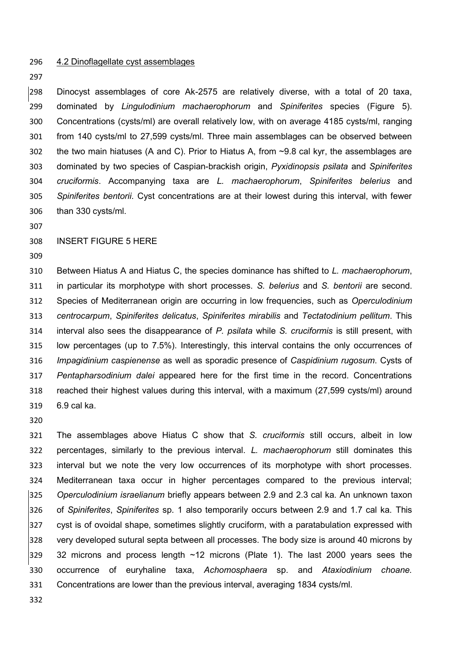4.2 Dinoflagellate cyst assemblages

 Dinocyst assemblages of core Ak-2575 are relatively diverse, with a total of 20 taxa, dominated by *Lingulodinium machaerophorum* and *Spiniferites* species (Figure 5). Concentrations (cysts/ml) are overall relatively low, with on average 4185 cysts/ml, ranging from 140 cysts/ml to 27,599 cysts/ml. Three main assemblages can be observed between the two main hiatuses (A and C). Prior to Hiatus A, from ~9.8 cal kyr, the assemblages are dominated by two species of Caspian-brackish origin, *Pyxidinopsis psilata* and *Spiniferites cruciformis*. Accompanying taxa are *L. machaerophorum*, *Spiniferites belerius* and *Spiniferites bentorii*. Cyst concentrations are at their lowest during this interval, with fewer than 330 cysts/ml.

### INSERT FIGURE 5 HERE

 Between Hiatus A and Hiatus C, the species dominance has shifted to *L. machaerophorum*, in particular its morphotype with short processes. *S. belerius* and *S. bentorii* are second. Species of Mediterranean origin are occurring in low frequencies, such as *Operculodinium centrocarpum*, *Spiniferites delicatus*, *Spiniferites mirabilis* and *Tectatodinium pellitum*. This interval also sees the disappearance of *P. psilata* while *S. cruciformis* is still present, with low percentages (up to 7.5%). Interestingly, this interval contains the only occurrences of *Impagidinium caspienense* as well as sporadic presence of *Caspidinium rugosum*. Cysts of *Pentapharsodinium dalei* appeared here for the first time in the record. Concentrations reached their highest values during this interval, with a maximum (27,599 cysts/ml) around 6.9 cal ka.

 The assemblages above Hiatus C show that *S. cruciformis* still occurs, albeit in low percentages, similarly to the previous interval. *L. machaerophorum* still dominates this interval but we note the very low occurrences of its morphotype with short processes. Mediterranean taxa occur in higher percentages compared to the previous interval; *Operculodinium israelianum* briefly appears between 2.9 and 2.3 cal ka. An unknown taxon of *Spiniferites*, *Spiniferites* sp. 1 also temporarily occurs between 2.9 and 1.7 cal ka. This 327 cyst is of ovoidal shape, sometimes slightly cruciform, with a paratabulation expressed with very developed sutural septa between all processes. The body size is around 40 microns by 329 32 microns and process length ~12 microns (Plate 1). The last 2000 years sees the occurrence of euryhaline taxa, *Achomosphaera* sp. and *Ataxiodinium choane.*  Concentrations are lower than the previous interval, averaging 1834 cysts/ml.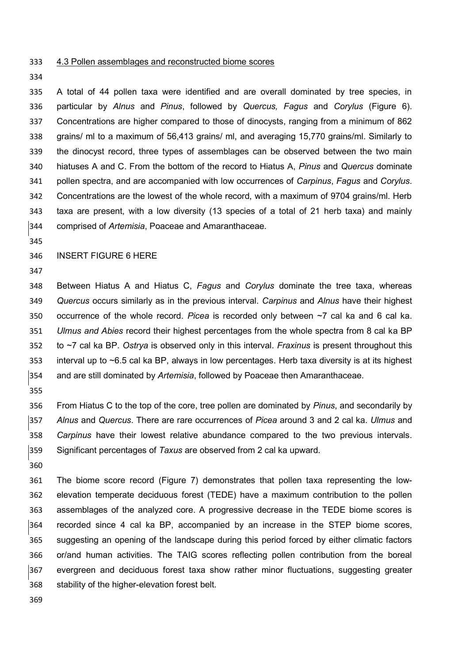- 4.3 Pollen assemblages and reconstructed biome scores
- 

 A total of 44 pollen taxa were identified and are overall dominated by tree species, in particular by *Alnus* and *Pinus*, followed by *Quercus, Fagus* and *Corylus* (Figure 6). Concentrations are higher compared to those of dinocysts, ranging from a minimum of 862 grains/ ml to a maximum of 56,413 grains/ ml, and averaging 15,770 grains/ml. Similarly to the dinocyst record, three types of assemblages can be observed between the two main hiatuses A and C. From the bottom of the record to Hiatus A, *Pinus* and *Quercus* dominate pollen spectra, and are accompanied with low occurrences of *Carpinus*, *Fagus* and *Corylus*. Concentrations are the lowest of the whole record, with a maximum of 9704 grains/ml. Herb taxa are present, with a low diversity (13 species of a total of 21 herb taxa) and mainly comprised of *Artemisia*, Poaceae and Amaranthaceae.

#### INSERT FIGURE 6 HERE

 Between Hiatus A and Hiatus C, *Fagus* and *Corylus* dominate the tree taxa, whereas *Quercus* occurs similarly as in the previous interval. *Carpinus* and *Alnus* have their highest occurrence of the whole record. *Picea* is recorded only between ~7 cal ka and 6 cal ka. *Ulmus and Abies* record their highest percentages from the whole spectra from 8 cal ka BP to ~7 cal ka BP. *Ostrya* is observed only in this interval. *Fraxinus* is present throughout this interval up to ~6.5 cal ka BP, always in low percentages. Herb taxa diversity is at its highest and are still dominated by *Artemisia*, followed by Poaceae then Amaranthaceae.

 From Hiatus C to the top of the core, tree pollen are dominated by *Pinus*, and secondarily by *Alnus* and *Quercus*. There are rare occurrences of *Picea* around 3 and 2 cal ka. *Ulmus* and *Carpinus* have their lowest relative abundance compared to the two previous intervals. Significant percentages of *Taxus* are observed from 2 cal ka upward.

 The biome score record (Figure 7) demonstrates that pollen taxa representing the low- elevation temperate deciduous forest (TEDE) have a maximum contribution to the pollen assemblages of the analyzed core. A progressive decrease in the TEDE biome scores is recorded since 4 cal ka BP, accompanied by an increase in the STEP biome scores, suggesting an opening of the landscape during this period forced by either climatic factors or/and human activities. The TAIG scores reflecting pollen contribution from the boreal evergreen and deciduous forest taxa show rather minor fluctuations, suggesting greater stability of the higher-elevation forest belt.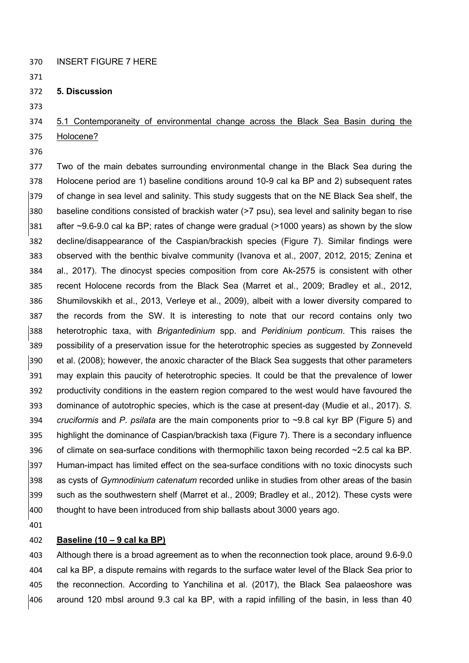- INSERT FIGURE 7 HERE
- 
- **5. Discussion**
- 

# 5.1 Contemporaneity of environmental change across the Black Sea Basin during the Holocene?

 Two of the main debates surrounding environmental change in the Black Sea during the Holocene period are 1) baseline conditions around 10-9 cal ka BP and 2) subsequent rates of change in sea level and salinity. This study suggests that on the NE Black Sea shelf, the baseline conditions consisted of brackish water (>7 psu), sea level and salinity began to rise after ~9.6-9.0 cal ka BP; rates of change were gradual (>1000 years) as shown by the slow decline/disappearance of the Caspian/brackish species (Figure 7). Similar findings were observed with the benthic bivalve community (Ivanova et al., 2007, 2012, 2015; Zenina et al., 2017). The dinocyst species composition from core Ak-2575 is consistent with other recent Holocene records from the Black Sea (Marret et al., 2009; Bradley et al., 2012, Shumilovskikh et al., 2013, Verleye et al., 2009), albeit with a lower diversity compared to the records from the SW. It is interesting to note that our record contains only two heterotrophic taxa, with *Brigantedinium* spp. and *Peridinium ponticum*. This raises the possibility of a preservation issue for the heterotrophic species as suggested by Zonneveld et al. (2008); however, the anoxic character of the Black Sea suggests that other parameters may explain this paucity of heterotrophic species. It could be that the prevalence of lower productivity conditions in the eastern region compared to the west would have favoured the dominance of autotrophic species, which is the case at present-day (Mudie et al., 2017). *S. cruciformis* and *P. psilata* are the main components prior to ~9.8 cal kyr BP (Figure 5) and highlight the dominance of Caspian/brackish taxa (Figure 7). There is a secondary influence 396 of climate on sea-surface conditions with thermophilic taxon being recorded  $\sim$ 2.5 cal ka BP. Human-impact has limited effect on the sea-surface conditions with no toxic dinocysts such as cysts of *Gymnodinium catenatum* recorded unlike in studies from other areas of the basin such as the southwestern shelf (Marret et al., 2009; Bradley et al., 2012). These cysts were thought to have been introduced from ship ballasts about 3000 years ago.

## **Baseline (10 – 9 cal ka BP)**

 Although there is a broad agreement as to when the reconnection took place, around 9.6-9.0 cal ka BP, a dispute remains with regards to the surface water level of the Black Sea prior to the reconnection. According to Yanchilina et al. (2017), the Black Sea palaeoshore was around 120 mbsl around 9.3 cal ka BP, with a rapid infilling of the basin, in less than 40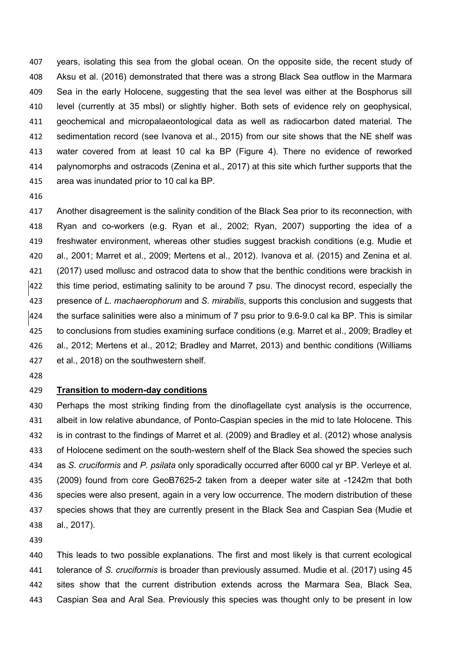years, isolating this sea from the global ocean. On the opposite side, the recent study of Aksu et al. (2016) demonstrated that there was a strong Black Sea outflow in the Marmara 409 Sea in the early Holocene, suggesting that the sea level was either at the Bosphorus sill level (currently at 35 mbsl) or slightly higher. Both sets of evidence rely on geophysical, geochemical and micropalaeontological data as well as radiocarbon dated material. The sedimentation record (see Ivanova et al., 2015) from our site shows that the NE shelf was water covered from at least 10 cal ka BP (Figure 4). There no evidence of reworked palynomorphs and ostracods (Zenina et al., 2017) at this site which further supports that the area was inundated prior to 10 cal ka BP.

 Another disagreement is the salinity condition of the Black Sea prior to its reconnection, with Ryan and co-workers (e.g. Ryan et al., 2002; Ryan, 2007) supporting the idea of a freshwater environment, whereas other studies suggest brackish conditions (e.g. Mudie et al., 2001; Marret et al., 2009; Mertens et al., 2012). Ivanova et al. (2015) and Zenina et al. 421 (2017) used mollusc and ostracod data to show that the benthic conditions were brackish in this time period, estimating salinity to be around 7 psu. The dinocyst record, especially the presence of *L. machaerophorum* and *S. mirabilis*, supports this conclusion and suggests that the surface salinities were also a minimum of 7 psu prior to 9.6-9.0 cal ka BP. This is similar to conclusions from studies examining surface conditions (e.g. Marret et al., 2009; Bradley et al., 2012; Mertens et al., 2012; Bradley and Marret, 2013) and benthic conditions (Williams et al., 2018) on the southwestern shelf.

#### **Transition to modern-day conditions**

 Perhaps the most striking finding from the dinoflagellate cyst analysis is the occurrence, albeit in low relative abundance, of Ponto-Caspian species in the mid to late Holocene. This is in contrast to the findings of Marret et al. (2009) and Bradley et al. (2012) whose analysis of Holocene sediment on the south-western shelf of the Black Sea showed the species such as *S. cruciformis* and *P. psilata* only sporadically occurred after 6000 cal yr BP. Verleye et al. (2009) found from core GeoB7625-2 taken from a deeper water site at -1242m that both species were also present, again in a very low occurrence. The modern distribution of these species shows that they are currently present in the Black Sea and Caspian Sea (Mudie et al., 2017).

 This leads to two possible explanations. The first and most likely is that current ecological tolerance of *S. cruciformis* is broader than previously assumed. Mudie et al. (2017) using 45 sites show that the current distribution extends across the Marmara Sea, Black Sea, Caspian Sea and Aral Sea. Previously this species was thought only to be present in low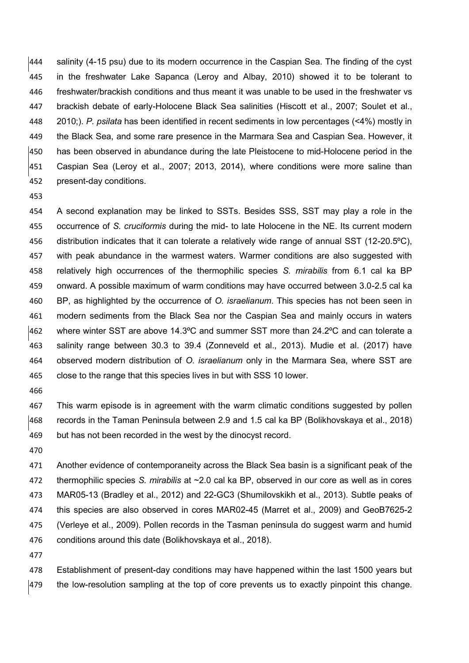salinity (4-15 psu) due to its modern occurrence in the Caspian Sea. The finding of the cyst in the freshwater Lake Sapanca (Leroy and Albay, 2010) showed it to be tolerant to freshwater/brackish conditions and thus meant it was unable to be used in the freshwater vs brackish debate of early-Holocene Black Sea salinities (Hiscott et al., 2007; Soulet et al., 2010;). *P. psilata* has been identified in recent sediments in low percentages (<4%) mostly in the Black Sea, and some rare presence in the Marmara Sea and Caspian Sea. However, it has been observed in abundance during the late Pleistocene to mid-Holocene period in the Caspian Sea (Leroy et al., 2007; 2013, 2014), where conditions were more saline than present-day conditions.

 A second explanation may be linked to SSTs. Besides SSS, SST may play a role in the occurrence of *S. cruciformis* during the mid- to late Holocene in the NE. Its current modern distribution indicates that it can tolerate a relatively wide range of annual SST (12-20.5ºC), with peak abundance in the warmest waters. Warmer conditions are also suggested with relatively high occurrences of the thermophilic species *S. mirabilis* from 6.1 cal ka BP onward. A possible maximum of warm conditions may have occurred between 3.0-2.5 cal ka BP, as highlighted by the occurrence of *O. israelianum*. This species has not been seen in modern sediments from the Black Sea nor the Caspian Sea and mainly occurs in waters where winter SST are above 14.3ºC and summer SST more than 24.2ºC and can tolerate a salinity range between 30.3 to 39.4 (Zonneveld et al., 2013). Mudie et al. (2017) have observed modern distribution of *O. israelianum* only in the Marmara Sea, where SST are close to the range that this species lives in but with SSS 10 lower.

 This warm episode is in agreement with the warm climatic conditions suggested by pollen records in the Taman Peninsula between 2.9 and 1.5 cal ka BP (Bolikhovskaya et al., 2018) but has not been recorded in the west by the dinocyst record.

 Another evidence of contemporaneity across the Black Sea basin is a significant peak of the thermophilic species *S. mirabilis* at ~2.0 cal ka BP, observed in our core as well as in cores MAR05-13 (Bradley et al., 2012) and 22-GC3 (Shumilovskikh et al., 2013). Subtle peaks of this species are also observed in cores MAR02-45 (Marret et al., 2009) and GeoB7625-2 (Verleye et al., 2009). Pollen records in the Tasman peninsula do suggest warm and humid conditions around this date (Bolikhovskaya et al., 2018).

 Establishment of present-day conditions may have happened within the last 1500 years but  $|479$  the low-resolution sampling at the top of core prevents us to exactly pinpoint this change.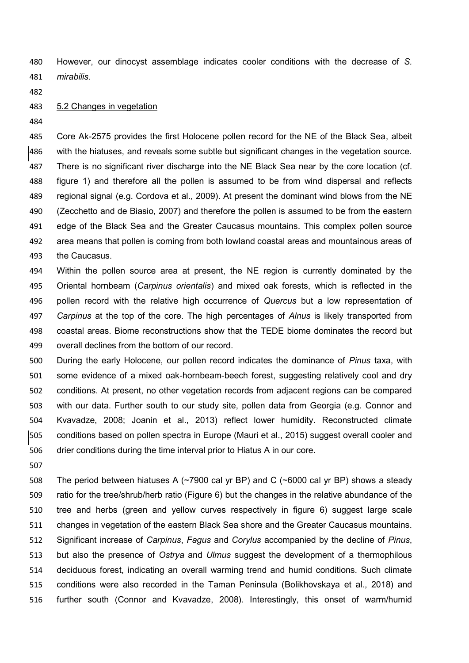However, our dinocyst assemblage indicates cooler conditions with the decrease of *S. mirabilis*.

5.2 Changes in vegetation

 Core Ak-2575 provides the first Holocene pollen record for the NE of the Black Sea, albeit with the hiatuses, and reveals some subtle but significant changes in the vegetation source. There is no significant river discharge into the NE Black Sea near by the core location (cf. figure 1) and therefore all the pollen is assumed to be from wind dispersal and reflects regional signal (e.g. Cordova et al., 2009). At present the dominant wind blows from the NE (Zecchetto and de Biasio, 2007) and therefore the pollen is assumed to be from the eastern edge of the Black Sea and the Greater Caucasus mountains. This complex pollen source area means that pollen is coming from both lowland coastal areas and mountainous areas of the Caucasus.

 Within the pollen source area at present, the NE region is currently dominated by the Oriental hornbeam (*Carpinus orientalis*) and mixed oak forests, which is reflected in the pollen record with the relative high occurrence of *Quercus* but a low representation of *Carpinus* at the top of the core. The high percentages of *Alnus* is likely transported from coastal areas. Biome reconstructions show that the TEDE biome dominates the record but overall declines from the bottom of our record.

 During the early Holocene, our pollen record indicates the dominance of *Pinus* taxa, with some evidence of a mixed oak-hornbeam-beech forest, suggesting relatively cool and dry conditions. At present, no other vegetation records from adjacent regions can be compared with our data. Further south to our study site, pollen data from Georgia (e.g. Connor and Kvavadze, 2008; Joanin et al., 2013) reflect lower humidity. Reconstructed climate conditions based on pollen spectra in Europe (Mauri et al., 2015) suggest overall cooler and drier conditions during the time interval prior to Hiatus A in our core.

 The period between hiatuses A (~7900 cal yr BP) and C (~6000 cal yr BP) shows a steady ratio for the tree/shrub/herb ratio (Figure 6) but the changes in the relative abundance of the tree and herbs (green and yellow curves respectively in figure 6) suggest large scale changes in vegetation of the eastern Black Sea shore and the Greater Caucasus mountains. Significant increase of *Carpinus*, *Fagus* and *Corylus* accompanied by the decline of *Pinus*, but also the presence of *Ostrya* and *Ulmus* suggest the development of a thermophilous deciduous forest, indicating an overall warming trend and humid conditions. Such climate conditions were also recorded in the Taman Peninsula (Bolikhovskaya et al., 2018) and further south (Connor and Kvavadze, 2008). Interestingly, this onset of warm/humid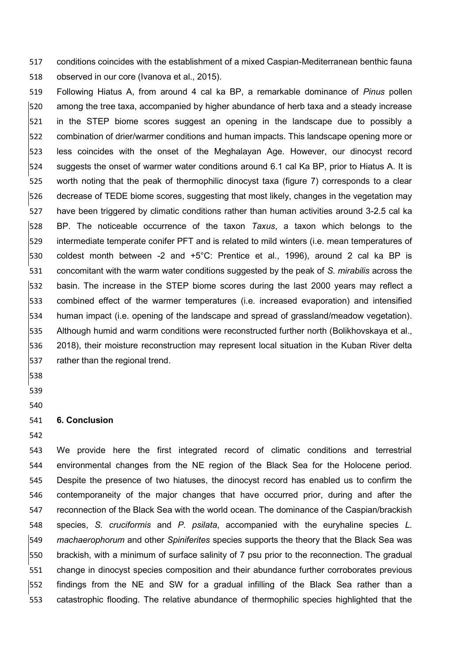conditions coincides with the establishment of a mixed Caspian-Mediterranean benthic fauna observed in our core (Ivanova et al., 2015).

 Following Hiatus A, from around 4 cal ka BP, a remarkable dominance of *Pinus* pollen among the tree taxa, accompanied by higher abundance of herb taxa and a steady increase in the STEP biome scores suggest an opening in the landscape due to possibly a combination of drier/warmer conditions and human impacts. This landscape opening more or less coincides with the onset of the Meghalayan Age. However, our dinocyst record suggests the onset of warmer water conditions around 6.1 cal Ka BP, prior to Hiatus A. It is worth noting that the peak of thermophilic dinocyst taxa (figure 7) corresponds to a clear decrease of TEDE biome scores, suggesting that most likely, changes in the vegetation may have been triggered by climatic conditions rather than human activities around 3-2.5 cal ka BP. The noticeable occurrence of the taxon *Taxus*, a taxon which belongs to the intermediate temperate conifer PFT and is related to mild winters (i.e. mean temperatures of coldest month between -2 and +5°C: Prentice et al., 1996), around 2 cal ka BP is concomitant with the warm water conditions suggested by the peak of *S. mirabilis* across the basin. The increase in the STEP biome scores during the last 2000 years may reflect a combined effect of the warmer temperatures (i.e. increased evaporation) and intensified human impact (i.e. opening of the landscape and spread of grassland/meadow vegetation). Although humid and warm conditions were reconstructed further north (Bolikhovskaya et al., 2018), their moisture reconstruction may represent local situation in the Kuban River delta rather than the regional trend.

# 

### **6. Conclusion**

 We provide here the first integrated record of climatic conditions and terrestrial environmental changes from the NE region of the Black Sea for the Holocene period. Despite the presence of two hiatuses, the dinocyst record has enabled us to confirm the contemporaneity of the major changes that have occurred prior, during and after the reconnection of the Black Sea with the world ocean. The dominance of the Caspian/brackish species, *S. cruciformis* and *P. psilata*, accompanied with the euryhaline species *L. machaerophorum* and other *Spiniferites* species supports the theory that the Black Sea was brackish, with a minimum of surface salinity of 7 psu prior to the reconnection. The gradual change in dinocyst species composition and their abundance further corroborates previous findings from the NE and SW for a gradual infilling of the Black Sea rather than a catastrophic flooding. The relative abundance of thermophilic species highlighted that the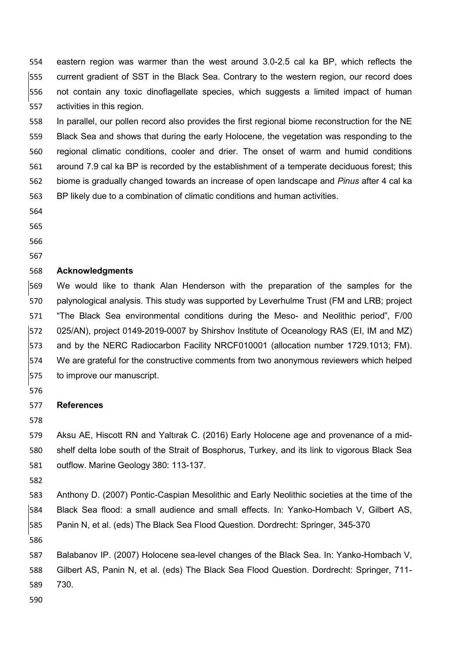eastern region was warmer than the west around 3.0-2.5 cal ka BP, which reflects the current gradient of SST in the Black Sea. Contrary to the western region, our record does not contain any toxic dinoflagellate species, which suggests a limited impact of human activities in this region.

 In parallel, our pollen record also provides the first regional biome reconstruction for the NE Black Sea and shows that during the early Holocene, the vegetation was responding to the regional climatic conditions, cooler and drier. The onset of warm and humid conditions around 7.9 cal ka BP is recorded by the establishment of a temperate deciduous forest; this biome is gradually changed towards an increase of open landscape and *Pinus* after 4 cal ka BP likely due to a combination of climatic conditions and human activities.

- 
- 

## **Acknowledgments**

 We would like to thank Alan Henderson with the preparation of the samples for the palynological analysis. This study was supported by Leverhulme Trust (FM and LRB; project "The Black Sea environmental conditions during the Meso- and Neolithic period", F/00 025/AN), project 0149-2019-0007 by Shirshov Institute of Oceanology RAS (EI, IM and MZ) and by the NERC Radiocarbon Facility NRCF010001 (allocation number 1729.1013; FM). We are grateful for the constructive comments from two anonymous reviewers which helped to improve our manuscript.

#### **References**

 Aksu AE, Hiscott RN and Yaltırak C. (2016) Early Holocene age and provenance of a mid- shelf delta lobe south of the Strait of Bosphorus, Turkey, and its link to vigorous Black Sea outflow. Marine Geology 380: 113-137.

 Anthony D. (2007) Pontic-Caspian Mesolithic and Early Neolithic societies at the time of the Black Sea flood: a small audience and small effects. In: Yanko-Hombach V, Gilbert AS, Panin N, et al. (eds) The Black Sea Flood Question. Dordrecht: Springer, 345-370

 Balabanov IP. (2007) Holocene sea-level changes of the Black Sea. In: Yanko-Hombach V, Gilbert AS, Panin N, et al. (eds) The Black Sea Flood Question. Dordrecht: Springer, 711- 730.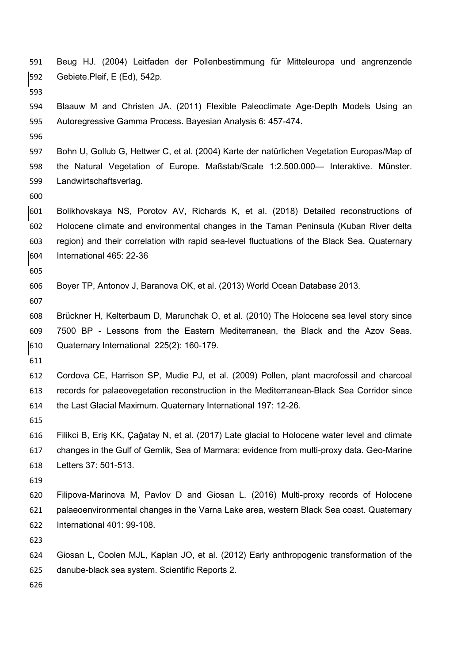- Beug HJ. (2004) Leitfaden der Pollenbestimmung für Mitteleuropa und angrenzende Gebiete.Pleif, E (Ed), 542p. Blaauw M and Christen JA. (2011) Flexible Paleoclimate Age-Depth Models Using an Autoregressive Gamma Process. Bayesian Analysis 6: 457-474. Bohn U, Gollub G, Hettwer C, et al. (2004) Karte der natürlichen Vegetation Europas/Map of the Natural Vegetation of Europe. Maßstab/Scale 1:2.500.000— Interaktive. Münster. Landwirtschaftsverlag. Bolikhovskaya NS, Porotov AV, Richards K, et al. (2018) Detailed reconstructions of Holocene climate and environmental changes in the Taman Peninsula (Kuban River delta region) and their correlation with rapid sea-level fluctuations of the Black Sea. Quaternary International 465: 22-36 Boyer TP, Antonov J, Baranova OK, et al. (2013) World Ocean Database 2013. Brückner H, Kelterbaum D, Marunchak O, et al. (2010) The Holocene sea level story since 7500 BP - Lessons from the Eastern Mediterranean, the Black and the Azov Seas. Quaternary International 225(2): 160-179. Cordova CE, Harrison SP, Mudie PJ, et al. (2009) Pollen, plant macrofossil and charcoal records for palaeovegetation reconstruction in the Mediterranean-Black Sea Corridor since the Last Glacial Maximum. Quaternary International 197: 12-26. Filikci B, Eriş KK, Çağatay N, et al. (2017) Late glacial to Holocene water level and climate changes in the Gulf of Gemlik, Sea of Marmara: evidence from multi-proxy data. Geo-Marine Letters 37: 501-513. Filipova-Marinova M, Pavlov D and Giosan L. (2016) Multi-proxy records of Holocene palaeoenvironmental changes in the Varna Lake area, western Black Sea coast. Quaternary International 401: 99-108. Giosan L, Coolen MJL, Kaplan JO, et al. (2012) Early anthropogenic transformation of the danube-black sea system. Scientific Reports 2.
	-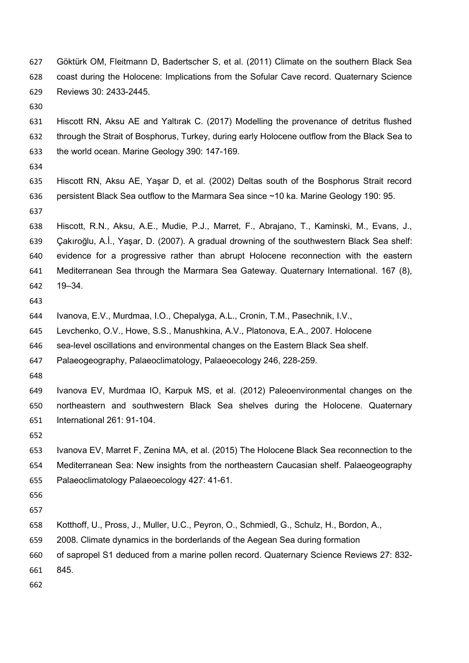- Göktürk OM, Fleitmann D, Badertscher S, et al. (2011) Climate on the southern Black Sea coast during the Holocene: Implications from the Sofular Cave record. Quaternary Science Reviews 30: 2433-2445.
- 

 Hiscott RN, Aksu AE and Yaltırak C. (2017) Modelling the provenance of detritus flushed through the Strait of Bosphorus, Turkey, during early Holocene outflow from the Black Sea to the world ocean. Marine Geology 390: 147-169.

- 
- Hiscott RN, Aksu AE, Yaşar D, et al. (2002) Deltas south of the Bosphorus Strait record persistent Black Sea outflow to the Marmara Sea since ~10 ka. Marine Geology 190: 95.
- 

 Hiscott, R.N., Aksu, A.E., Mudie, P.J., Marret, F., Abrajano, T., Kaminski, M., Evans, J., Çakıroğlu, A.İ., Yaşar, D. (2007). A gradual drowning of the southwestern Black Sea shelf: evidence for a progressive rather than abrupt Holocene reconnection with the eastern Mediterranean Sea through the Marmara Sea Gateway. Quaternary International. 167 (8), 19–34.

- 
- Ivanova, E.V., Murdmaa, I.O., Chepalyga, A.L., Cronin, T.M., Pasechnik, I.V.,
- Levchenko, O.V., Howe, S.S., Manushkina, A.V., Platonova, E.A., 2007. Holocene
- sea-level oscillations and environmental changes on the Eastern Black Sea shelf.
- Palaeogeography, Palaeoclimatology, Palaeoecology 246, 228-259.
- 

 Ivanova EV, Murdmaa IO, Karpuk MS, et al. (2012) Paleoenvironmental changes on the northeastern and southwestern Black Sea shelves during the Holocene. Quaternary International 261: 91-104.

- Ivanova EV, Marret F, Zenina MA, et al. (2015) The Holocene Black Sea reconnection to the Mediterranean Sea: New insights from the northeastern Caucasian shelf. Palaeogeography Palaeoclimatology Palaeoecology 427: 41-61.
- 
- 
- Kotthoff, U., Pross, J., Muller, U.C., Peyron, O., Schmiedl, G., Schulz, H., Bordon, A.,
- 2008. Climate dynamics in the borderlands of the Aegean Sea during formation
- of sapropel S1 deduced from a marine pollen record. Quaternary Science Reviews 27: 832-
- 845.
-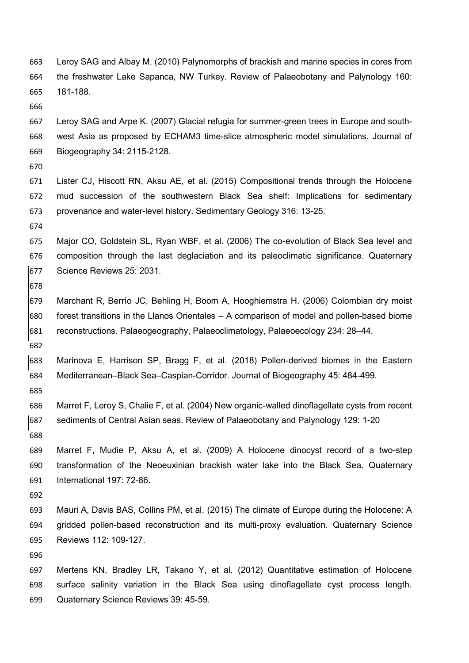- Leroy SAG and Albay M. (2010) Palynomorphs of brackish and marine species in cores from the freshwater Lake Sapanca, NW Turkey. Review of Palaeobotany and Palynology 160: 181-188.
- 

 Leroy SAG and Arpe K. (2007) Glacial refugia for summer-green trees in Europe and south- west Asia as proposed by ECHAM3 time-slice atmospheric model simulations. Journal of Biogeography 34: 2115-2128.

- 
- Lister CJ, Hiscott RN, Aksu AE, et al. (2015) Compositional trends through the Holocene mud succession of the southwestern Black Sea shelf: Implications for sedimentary provenance and water-level history. Sedimentary Geology 316: 13-25.
- 

 Major CO, Goldstein SL, Ryan WBF, et al. (2006) The co-evolution of Black Sea level and composition through the last deglaciation and its paleoclimatic significance. Quaternary Science Reviews 25: 2031.

- 
- Marchant R, Berrìo JC, Behling H, Boom A, Hooghiemstra H. (2006) Colombian dry moist forest transitions in the Llanos Orientales – A comparison of model and pollen-based biome reconstructions. Palaeogeography, Palaeoclimatology, Palaeoecology 234: 28–44.
- 

 Marinova E, Harrison SP, Bragg F, et al. (2018) Pollen-derived biomes in the Eastern Mediterranean–Black Sea–Caspian-Corridor. Journal of Biogeography 45: 484-499.

- 
- Marret F, Leroy S, Chalie F, et al. (2004) New organic-walled dinoflagellate cysts from recent sediments of Central Asian seas. Review of Palaeobotany and Palynology 129: 1-20
- Marret F, Mudie P, Aksu A, et al. (2009) A Holocene dinocyst record of a two-step transformation of the Neoeuxinian brackish water lake into the Black Sea. Quaternary International 197: 72-86.
- 
- Mauri A, Davis BAS, Collins PM, et al. (2015) The climate of Europe during the Holocene: A gridded pollen-based reconstruction and its multi-proxy evaluation. Quaternary Science Reviews 112: 109-127.

 Mertens KN, Bradley LR, Takano Y, et al. (2012) Quantitative estimation of Holocene surface salinity variation in the Black Sea using dinoflagellate cyst process length. Quaternary Science Reviews 39: 45-59.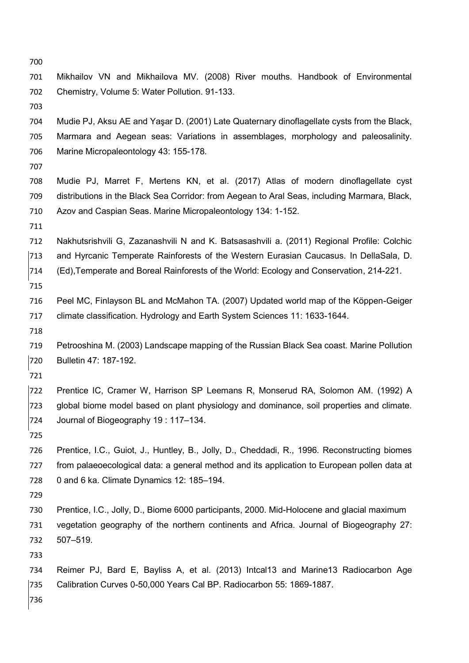Mudie PJ, Aksu AE and Yaşar D. (2001) Late Quaternary dinoflagellate cysts from the Black, Marmara and Aegean seas: Variations in assemblages, morphology and paleosalinity. Marine Micropaleontology 43: 155-178. Mudie PJ, Marret F, Mertens KN, et al. (2017) Atlas of modern dinoflagellate cyst distributions in the Black Sea Corridor: from Aegean to Aral Seas, including Marmara, Black, Azov and Caspian Seas. Marine Micropaleontology 134: 1-152. Nakhutsrishvili G, Zazanashvili N and K. Batsasashvili a. (2011) Regional Profile: Colchic and Hyrcanic Temperate Rainforests of the Western Eurasian Caucasus. In DellaSala, D. (Ed),Temperate and Boreal Rainforests of the World: Ecology and Conservation, 214-221. Peel MC, Finlayson BL and McMahon TA. (2007) Updated world map of the Köppen-Geiger climate classification. Hydrology and Earth System Sciences 11: 1633-1644. Petrooshina M. (2003) Landscape mapping of the Russian Black Sea coast. Marine Pollution Bulletin 47: 187-192. Prentice IC, Cramer W, Harrison SP Leemans R, Monserud RA, Solomon AM. (1992) A global biome model based on plant physiology and dominance, soil properties and climate. Journal of Biogeography 19 : 117–134. Prentice, I.C., Guiot, J., Huntley, B., Jolly, D., Cheddadi, R., 1996. Reconstructing biomes from palaeoecological data: a general method and its application to European pollen data at 0 and 6 ka. Climate Dynamics 12: 185–194. Prentice, I.C., Jolly, D., Biome 6000 participants, 2000. Mid-Holocene and glacial maximum vegetation geography of the northern continents and Africa. Journal of Biogeography 27: 507–519. 

Mikhailov VN and Mikhailova MV. (2008) River mouths. Handbook of Environmental

Chemistry, Volume 5: Water Pollution. 91-133.

- Reimer PJ, Bard E, Bayliss A, et al. (2013) Intcal13 and Marine13 Radiocarbon Age Calibration Curves 0-50,000 Years Cal BP. Radiocarbon 55: 1869-1887.
-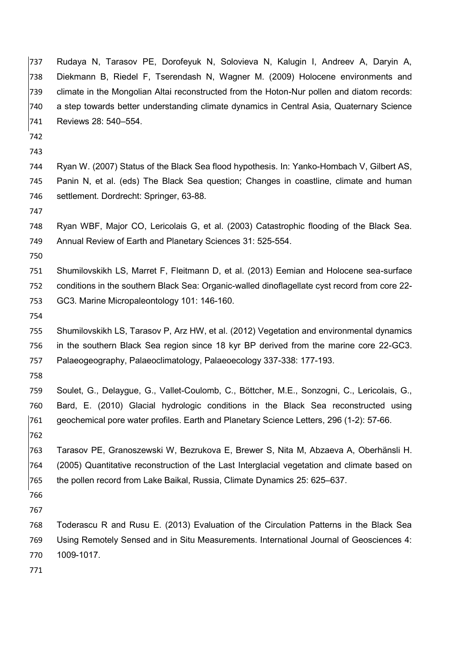Rudaya N, Tarasov PE, Dorofeyuk N, Solovieva N, Kalugin I, Andreev A, Daryin A, Diekmann B, Riedel F, Tserendash N, Wagner M. (2009) Holocene environments and climate in the Mongolian Altai reconstructed from the Hoton-Nur pollen and diatom records: a step towards better understanding climate dynamics in Central Asia, Quaternary Science Reviews 28: 540–554.

- 
- 

 Ryan W. (2007) Status of the Black Sea flood hypothesis. In: Yanko-Hombach V, Gilbert AS, Panin N, et al. (eds) The Black Sea question; Changes in coastline, climate and human settlement. Dordrecht: Springer, 63-88.

 Ryan WBF, Major CO, Lericolais G, et al. (2003) Catastrophic flooding of the Black Sea. Annual Review of Earth and Planetary Sciences 31: 525-554.

 Shumilovskikh LS, Marret F, Fleitmann D, et al. (2013) Eemian and Holocene sea-surface conditions in the southern Black Sea: Organic-walled dinoflagellate cyst record from core 22- GC3. Marine Micropaleontology 101: 146-160.

 Shumilovskikh LS, Tarasov P, Arz HW, et al. (2012) Vegetation and environmental dynamics in the southern Black Sea region since 18 kyr BP derived from the marine core 22-GC3. Palaeogeography, Palaeoclimatology, Palaeoecology 337-338: 177-193.

 Soulet, G., Delaygue, G., Vallet-Coulomb, C., Böttcher, M.E., Sonzogni, C., Lericolais, G., Bard, E. (2010) Glacial hydrologic conditions in the Black Sea reconstructed using geochemical pore water profiles. Earth and Planetary Science Letters, 296 (1-2): 57-66. 

 Tarasov PE, Granoszewski W, Bezrukova E, Brewer S, Nita M, Abzaeva A, Oberhänsli H. (2005) Quantitative reconstruction of the Last Interglacial vegetation and climate based on the pollen record from Lake Baikal, Russia, Climate Dynamics 25: 625–637.

 Toderascu R and Rusu E. (2013) Evaluation of the Circulation Patterns in the Black Sea Using Remotely Sensed and in Situ Measurements. International Journal of Geosciences 4: 1009-1017.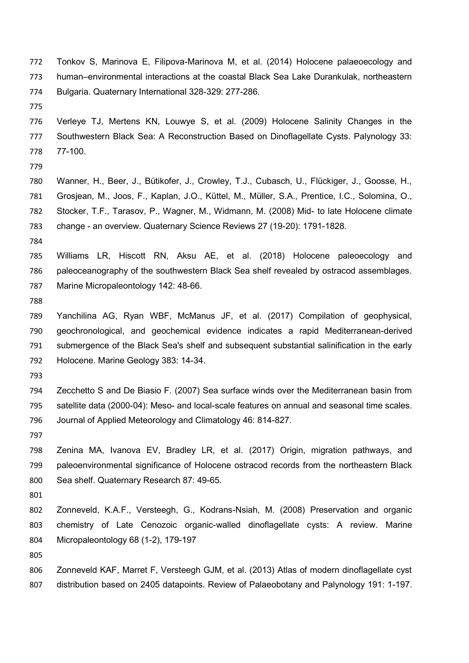- Tonkov S, Marinova E, Filipova-Marinova M, et al. (2014) Holocene palaeoecology and human–environmental interactions at the coastal Black Sea Lake Durankulak, northeastern Bulgaria. Quaternary International 328-329: 277-286.
- 

 Verleye TJ, Mertens KN, Louwye S, et al. (2009) Holocene Salinity Changes in the Southwestern Black Sea: A Reconstruction Based on Dinoflagellate Cysts. Palynology 33: 77-100.

 Wanner, H., Beer, J., Bütikofer, J., Crowley, T.J., Cubasch, U., Flückiger, J., Goosse, H., Grosjean, M., Joos, F., Kaplan, J.O., Küttel, M., Müller, S.A., Prentice, I.C., Solomina, O., Stocker, T.F., Tarasov, P., Wagner, M., Widmann, M. (2008) Mid- to late Holocene climate change - an overview. Quaternary Science Reviews 27 (19-20): 1791-1828.

 Williams LR, Hiscott RN, Aksu AE, et al. (2018) Holocene paleoecology and paleoceanography of the southwestern Black Sea shelf revealed by ostracod assemblages. Marine Micropaleontology 142: 48-66.

 Yanchilina AG, Ryan WBF, McManus JF, et al. (2017) Compilation of geophysical, geochronological, and geochemical evidence indicates a rapid Mediterranean-derived submergence of the Black Sea's shelf and subsequent substantial salinification in the early Holocene. Marine Geology 383: 14-34.

 Zecchetto S and De Biasio F. (2007) Sea surface winds over the Mediterranean basin from satellite data (2000-04): Meso- and local-scale features on annual and seasonal time scales. Journal of Applied Meteorology and Climatology 46: 814-827.

 Zenina MA, Ivanova EV, Bradley LR, et al. (2017) Origin, migration pathways, and paleoenvironmental significance of Holocene ostracod records from the northeastern Black Sea shelf. Quaternary Research 87: 49-65.

 Zonneveld, K.A.F., Versteegh, G., Kodrans-Nsiah, M. (2008) Preservation and organic chemistry of Late Cenozoic organic-walled dinoflagellate cysts: A review. Marine Micropaleontology 68 (1-2), 179-197

 Zonneveld KAF, Marret F, Versteegh GJM, et al. (2013) Atlas of modern dinoflagellate cyst distribution based on 2405 datapoints. Review of Palaeobotany and Palynology 191: 1-197.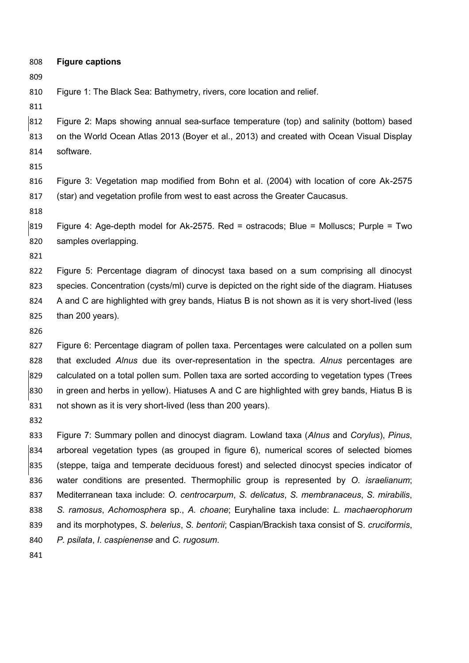- **Figure captions**
- 

Figure 1: The Black Sea: Bathymetry, rivers, core location and relief.

 Figure 2: Maps showing annual sea-surface temperature (top) and salinity (bottom) based on the World Ocean Atlas 2013 (Boyer et al., 2013) and created with Ocean Visual Display software.

 Figure 3: Vegetation map modified from Bohn et al. (2004) with location of core Ak-2575 (star) and vegetation profile from west to east across the Greater Caucasus.

 Figure 4: Age-depth model for Ak-2575. Red = ostracods; Blue = Molluscs; Purple = Two samples overlapping.

 Figure 5: Percentage diagram of dinocyst taxa based on a sum comprising all dinocyst species. Concentration (cysts/ml) curve is depicted on the right side of the diagram. Hiatuses A and C are highlighted with grey bands, Hiatus B is not shown as it is very short-lived (less than 200 years).

 Figure 6: Percentage diagram of pollen taxa. Percentages were calculated on a pollen sum that excluded *Alnus* due its over-representation in the spectra. *Alnus* percentages are calculated on a total pollen sum. Pollen taxa are sorted according to vegetation types (Trees in green and herbs in yellow). Hiatuses A and C are highlighted with grey bands, Hiatus B is not shown as it is very short-lived (less than 200 years).

 Figure 7: Summary pollen and dinocyst diagram. Lowland taxa (*Alnus* and *Corylus*), *Pinus*, arboreal vegetation types (as grouped in figure 6), numerical scores of selected biomes (steppe, taiga and temperate deciduous forest) and selected dinocyst species indicator of water conditions are presented. Thermophilic group is represented by *O. israelianum*; Mediterranean taxa include: *O. centrocarpum*, *S. delicatus*, *S. membranaceus*, *S. mirabilis*, *S. ramosus*, *Achomosphera* sp., *A. choane*; Euryhaline taxa include: *L. machaerophorum* and its morphotypes, *S. belerius*, *S. bentorii*; Caspian/Brackish taxa consist of S*. cruciformis*, *P. psilata*, *I. caspienense* and *C. rugosum*.